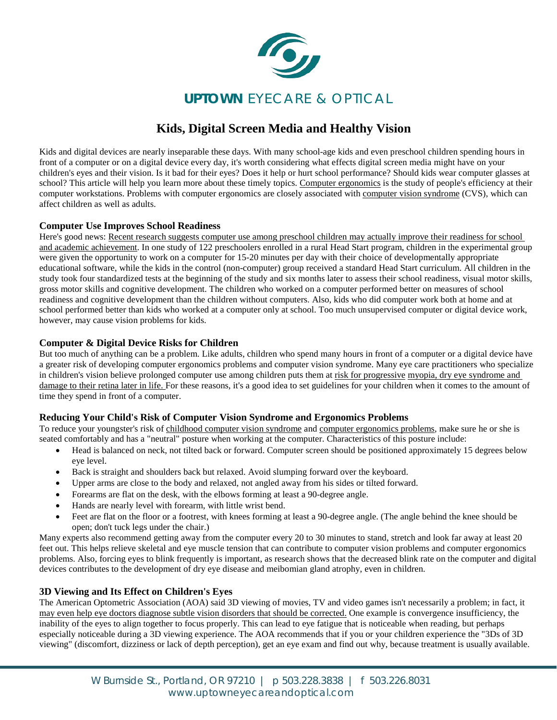

# **Kids, Digital Screen Media and Healthy Vision**

Kids and digital devices are nearly inseparable these days. With many school-age kids and even preschool children spending hours in front of a computer or on a digital device every day, it's worth considering what effects digital screen media might have on your children's eyes and their vision. Is it bad for their eyes? Does it help or hurt school performance? Should kids wear [computer glasses](http://www.allaboutvision.com/cvs/computer_glasses.htm) at school? This article will help you learn more about these timely topics. [Computer ergonomics](http://www.allaboutvision.com/cvs/ergonomics.htm) is the study of people's efficiency at their computer workstations. Problems with computer ergonomics are closely associated with [computer vision syndrome](http://www.allaboutvision.com/cvs/) (CVS), which can affect children as well as adults.

#### **Computer Use Improves School Readiness**

Here's good news: Recent research suggests computer use among preschool children may actually improve their readiness for school and academic achievement. In one study of 122 preschoolers enrolled in a rural Head Start program, children in the experimental group were given the opportunity to work on a computer for 15-20 minutes per day with their choice of developmentally appropriate educational software, while the kids in the control (non-computer) group received a standard Head Start curriculum. All children in the study took four standardized tests at the beginning of the study and six months later to assess their school readiness, visual motor skills, gross motor skills and cognitive development. The children who worked on a computer performed better on measures of school readiness and cognitive development than the children without computers. Also, kids who did computer work both at home and at school performed better than kids who worked at a computer only at school. Too much unsupervised computer or digital device work, however, may cause vision problems for kids.

# **Computer & Digital Device Risks for Children**

But too much of anything can be a problem. Like adults, children who spend many hours in front of a computer or a digital device have a greater risk of developing computer ergonomics problems and computer vision syndrome. Many [eye care practitioners](http://www.allaboutvision.com/definition.php?defID=438) who specialize in children's vision believe prolonged computer use among children puts them at risk for progressive [myopia,](http://www.allaboutvision.com/conditions/myopia.htm) dry eye syndrome and damage to their retina later in life. For these reasons, it's a good idea to set guidelines for your children when it comes to the amount of time they spend in front of a computer.

#### **Reducing Your Child's Risk of Computer Vision Syndrome and Ergonomics Problems**

To reduce your youngster's risk o[f childhood computer vision syndrome](http://www.allaboutvision.com/cvs/children-computer-vision-syndrome.htm) and computer ergonomics problems, make sure he or she is seated comfortably and has a "neutral" posture when working at the computer. Characteristics of this posture include:

- Head is balanced on neck, not tilted back or forward. Computer screen should be positioned approximately 15 degrees below eye level.
- Back is straight and shoulders back but relaxed. Avoid slumping forward over the keyboard.
- Upper arms are close to the body and relaxed, not angled away from his sides or tilted forward.
- Forearms are flat on the desk, with the elbows forming at least a 90-degree angle.
- Hands are nearly level with forearm, with little wrist bend.
- Feet are flat on the floor or a footrest, with knees forming at least a 90-degree angle. (The angle behind the knee should be open; don't tuck legs under the chair.)

Many experts also recommend getting away from the computer every 20 to 30 minutes to stand, stretch and look far away at least 20 feet out. This helps relieve skeletal and eye muscle tension that can contribute to computer vision problems and computer ergonomics problems. Also, forcing eyes to blink frequently is important, as research shows that the decreased blink rate on the computer and digital devices contributes to the development of dry eye disease and meibomian gland atrophy, even in children.

#### **3D Viewing and Its Effect on Children's Eyes**

The American Optometric Association (AOA) said 3D viewing of movies, TV and video games isn't necessarily a problem; in fact, it may even help eye doctors diagnose subtle vision disorders that should be corrected. One example is convergence insufficiency, the inability of the eyes to align together to focus properly. This can lead to eye fatigue that is noticeable when reading, but perhaps especially noticeable during a 3D viewing experience. The AOA recommends that if you or your children experience the "3Ds of 3D viewing" (discomfort, dizziness or lack of depth perception), get an eye exam and find out why, because treatment is usually available.